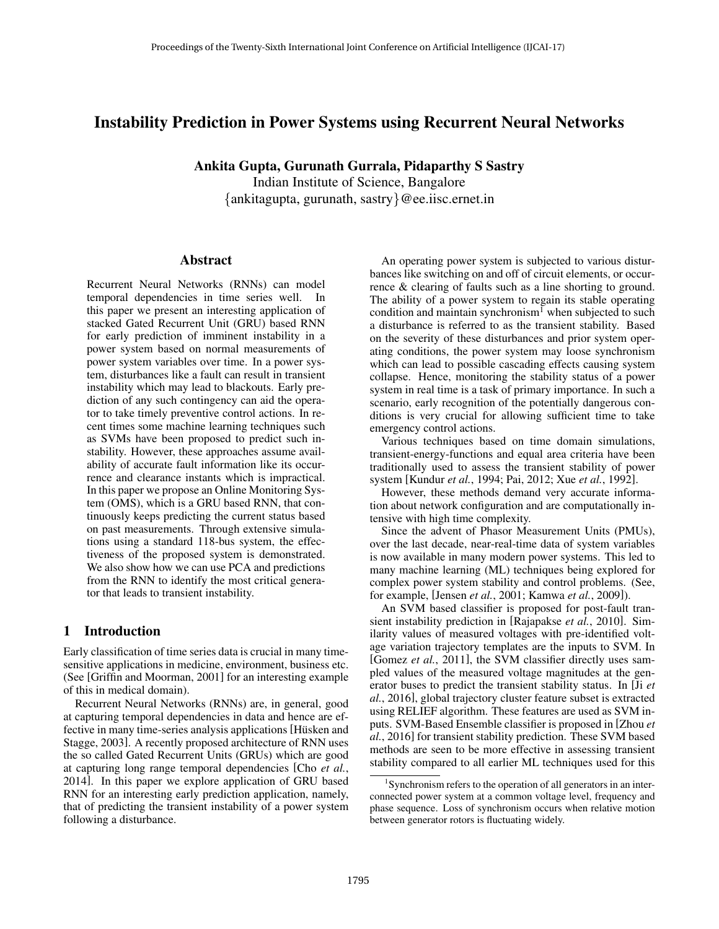# Instability Prediction in Power Systems using Recurrent Neural Networks

Ankita Gupta, Gurunath Gurrala, Pidaparthy S Sastry

Indian Institute of Science, Bangalore {ankitagupta, gurunath, sastry}@ee.iisc.ernet.in

# Abstract

Recurrent Neural Networks (RNNs) can model temporal dependencies in time series well. In this paper we present an interesting application of stacked Gated Recurrent Unit (GRU) based RNN for early prediction of imminent instability in a power system based on normal measurements of power system variables over time. In a power system, disturbances like a fault can result in transient instability which may lead to blackouts. Early prediction of any such contingency can aid the operator to take timely preventive control actions. In recent times some machine learning techniques such as SVMs have been proposed to predict such instability. However, these approaches assume availability of accurate fault information like its occurrence and clearance instants which is impractical. In this paper we propose an Online Monitoring System (OMS), which is a GRU based RNN, that continuously keeps predicting the current status based on past measurements. Through extensive simulations using a standard 118-bus system, the effectiveness of the proposed system is demonstrated. We also show how we can use PCA and predictions from the RNN to identify the most critical generator that leads to transient instability.

# 1 Introduction

Early classification of time series data is crucial in many timesensitive applications in medicine, environment, business etc. (See [Griffin and Moorman, 2001] for an interesting example of this in medical domain).

Recurrent Neural Networks (RNNs) are, in general, good at capturing temporal dependencies in data and hence are effective in many time-series analysis applications [Hüsken and Stagge, 2003]. A recently proposed architecture of RNN uses the so called Gated Recurrent Units (GRUs) which are good at capturing long range temporal dependencies [Cho *et al.*, 2014]. In this paper we explore application of GRU based RNN for an interesting early prediction application, namely, that of predicting the transient instability of a power system following a disturbance.

An operating power system is subjected to various disturbances like switching on and off of circuit elements, or occurrence & clearing of faults such as a line shorting to ground. The ability of a power system to regain its stable operating condition and maintain synchronism<sup>1</sup> when subjected to such a disturbance is referred to as the transient stability. Based on the severity of these disturbances and prior system operating conditions, the power system may loose synchronism which can lead to possible cascading effects causing system collapse. Hence, monitoring the stability status of a power system in real time is a task of primary importance. In such a scenario, early recognition of the potentially dangerous conditions is very crucial for allowing sufficient time to take emergency control actions.

Various techniques based on time domain simulations, transient-energy-functions and equal area criteria have been traditionally used to assess the transient stability of power system [Kundur *et al.*, 1994; Pai, 2012; Xue *et al.*, 1992].

However, these methods demand very accurate information about network configuration and are computationally intensive with high time complexity.

Since the advent of Phasor Measurement Units (PMUs), over the last decade, near-real-time data of system variables is now available in many modern power systems. This led to many machine learning (ML) techniques being explored for complex power system stability and control problems. (See, for example, [Jensen *et al.*, 2001; Kamwa *et al.*, 2009]).

An SVM based classifier is proposed for post-fault transient instability prediction in [Rajapakse *et al.*, 2010]. Similarity values of measured voltages with pre-identified voltage variation trajectory templates are the inputs to SVM. In [Gomez *et al.*, 2011], the SVM classifier directly uses sampled values of the measured voltage magnitudes at the generator buses to predict the transient stability status. In [Ji *et al.*, 2016], global trajectory cluster feature subset is extracted using RELIEF algorithm. These features are used as SVM inputs. SVM-Based Ensemble classifier is proposed in [Zhou *et al.*, 2016] for transient stability prediction. These SVM based methods are seen to be more effective in assessing transient stability compared to all earlier ML techniques used for this

<sup>1</sup> Synchronism refers to the operation of all generators in an interconnected power system at a common voltage level, frequency and phase sequence. Loss of synchronism occurs when relative motion between generator rotors is fluctuating widely.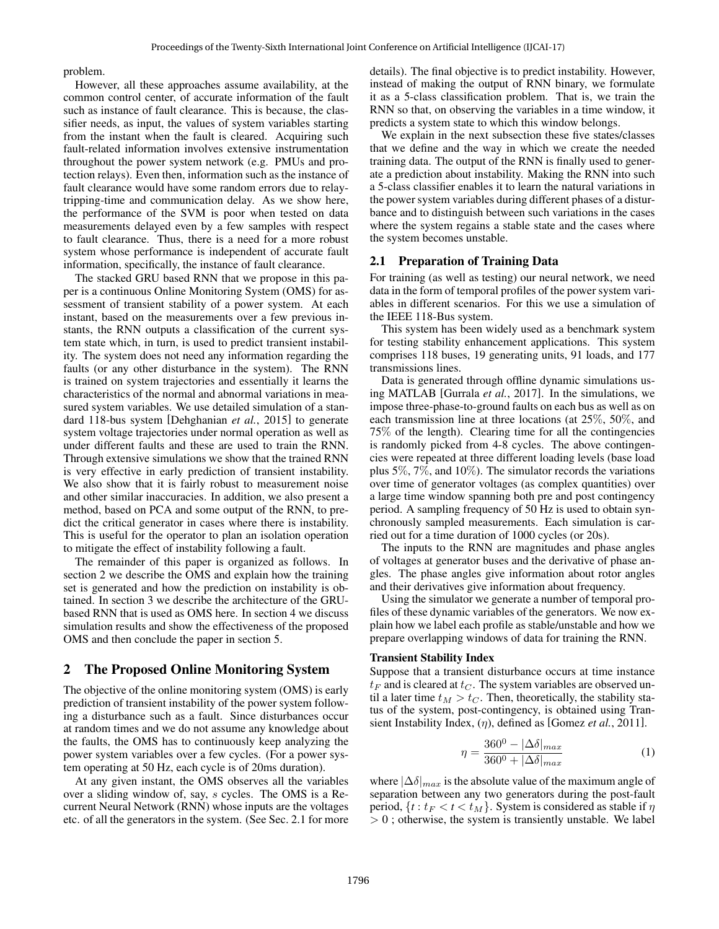problem.

However, all these approaches assume availability, at the common control center, of accurate information of the fault such as instance of fault clearance. This is because, the classifier needs, as input, the values of system variables starting from the instant when the fault is cleared. Acquiring such fault-related information involves extensive instrumentation throughout the power system network (e.g. PMUs and protection relays). Even then, information such as the instance of fault clearance would have some random errors due to relaytripping-time and communication delay. As we show here, the performance of the SVM is poor when tested on data measurements delayed even by a few samples with respect to fault clearance. Thus, there is a need for a more robust system whose performance is independent of accurate fault information, specifically, the instance of fault clearance.

The stacked GRU based RNN that we propose in this paper is a continuous Online Monitoring System (OMS) for assessment of transient stability of a power system. At each instant, based on the measurements over a few previous instants, the RNN outputs a classification of the current system state which, in turn, is used to predict transient instability. The system does not need any information regarding the faults (or any other disturbance in the system). The RNN is trained on system trajectories and essentially it learns the characteristics of the normal and abnormal variations in measured system variables. We use detailed simulation of a standard 118-bus system [Dehghanian *et al.*, 2015] to generate system voltage trajectories under normal operation as well as under different faults and these are used to train the RNN. Through extensive simulations we show that the trained RNN is very effective in early prediction of transient instability. We also show that it is fairly robust to measurement noise and other similar inaccuracies. In addition, we also present a method, based on PCA and some output of the RNN, to predict the critical generator in cases where there is instability. This is useful for the operator to plan an isolation operation to mitigate the effect of instability following a fault.

The remainder of this paper is organized as follows. In section 2 we describe the OMS and explain how the training set is generated and how the prediction on instability is obtained. In section 3 we describe the architecture of the GRUbased RNN that is used as OMS here. In section 4 we discuss simulation results and show the effectiveness of the proposed OMS and then conclude the paper in section 5.

# 2 The Proposed Online Monitoring System

The objective of the online monitoring system (OMS) is early prediction of transient instability of the power system following a disturbance such as a fault. Since disturbances occur at random times and we do not assume any knowledge about the faults, the OMS has to continuously keep analyzing the power system variables over a few cycles. (For a power system operating at 50 Hz, each cycle is of 20ms duration).

At any given instant, the OMS observes all the variables over a sliding window of, say, s cycles. The OMS is a Recurrent Neural Network (RNN) whose inputs are the voltages etc. of all the generators in the system. (See Sec. 2.1 for more details). The final objective is to predict instability. However, instead of making the output of RNN binary, we formulate it as a 5-class classification problem. That is, we train the RNN so that, on observing the variables in a time window, it predicts a system state to which this window belongs.

We explain in the next subsection these five states/classes that we define and the way in which we create the needed training data. The output of the RNN is finally used to generate a prediction about instability. Making the RNN into such a 5-class classifier enables it to learn the natural variations in the power system variables during different phases of a disturbance and to distinguish between such variations in the cases where the system regains a stable state and the cases where the system becomes unstable.

#### 2.1 Preparation of Training Data

For training (as well as testing) our neural network, we need data in the form of temporal profiles of the power system variables in different scenarios. For this we use a simulation of the IEEE 118-Bus system.

This system has been widely used as a benchmark system for testing stability enhancement applications. This system comprises 118 buses, 19 generating units, 91 loads, and 177 transmissions lines.

Data is generated through offline dynamic simulations using MATLAB [Gurrala *et al.*, 2017]. In the simulations, we impose three-phase-to-ground faults on each bus as well as on each transmission line at three locations (at 25%, 50%, and 75% of the length). Clearing time for all the contingencies is randomly picked from 4-8 cycles. The above contingencies were repeated at three different loading levels (base load plus 5%, 7%, and 10%). The simulator records the variations over time of generator voltages (as complex quantities) over a large time window spanning both pre and post contingency period. A sampling frequency of 50 Hz is used to obtain synchronously sampled measurements. Each simulation is carried out for a time duration of 1000 cycles (or 20s).

The inputs to the RNN are magnitudes and phase angles of voltages at generator buses and the derivative of phase angles. The phase angles give information about rotor angles and their derivatives give information about frequency.

Using the simulator we generate a number of temporal profiles of these dynamic variables of the generators. We now explain how we label each profile as stable/unstable and how we prepare overlapping windows of data for training the RNN.

### Transient Stability Index

Suppose that a transient disturbance occurs at time instance  $t_F$  and is cleared at  $t_C$ . The system variables are observed until a later time  $t_M > t_C$ . Then, theoretically, the stability status of the system, post-contingency, is obtained using Transient Instability Index, (η), defined as [Gomez *et al.*, 2011].

$$
\eta = \frac{360^0 - |\Delta\delta|_{max}}{360^0 + |\Delta\delta|_{max}}\tag{1}
$$

where  $|\Delta \delta|_{max}$  is the absolute value of the maximum angle of separation between any two generators during the post-fault period,  $\{t : t_F < t < t_M\}$ . System is considered as stable if  $\eta$  $> 0$ ; otherwise, the system is transiently unstable. We label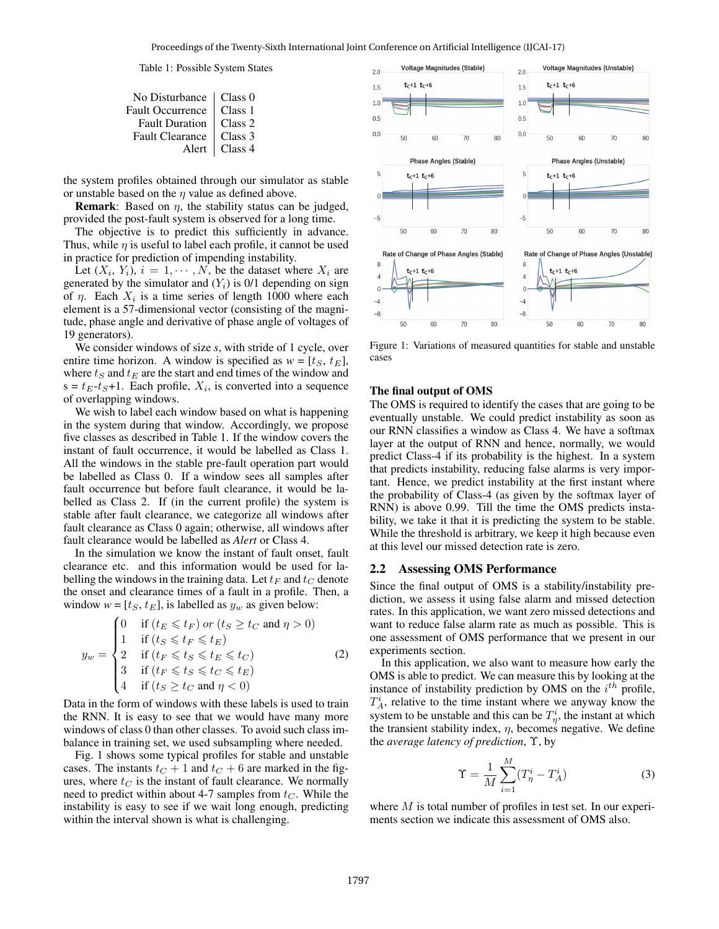#### Table 1: Possible System States

| No Disturbance   Class 0 |         |
|--------------------------|---------|
| Fault Occurrence         | Class 1 |
| <b>Fault Duration</b>    | Class 2 |
| <b>Fault Clearance</b>   | Class 3 |
| Alert                    | Class 4 |
|                          |         |

the system profiles obtained through our simulator as stable or unstable based on the  $\eta$  value as defined above.

**Remark:** Based on  $\eta$ , the stability status can be judged, provided the post-fault system is observed for a long time.

The objective is to predict this sufficiently in advance. Thus, while  $\eta$  is useful to label each profile, it cannot be used in practice for prediction of impending instability.

Let  $(X_i, Y_i)$ ,  $i = 1, \dots, N$ , be the dataset where  $X_i$  are generated by the simulator and  $(Y_i)$  is 0/1 depending on sign of  $\eta$ . Each  $X_i$  is a time series of length 1000 where each element is a 57-dimensional vector (consisting of the magnitude, phase angle and derivative of phase angle of voltages of 19 generators).

We consider windows of size *s*, with stride of 1 cycle, over entire time horizon. A window is specified as  $w = [t_S, t_E]$ , where  $t_S$  and  $t_E$  are the start and end times of the window and  $s = t_E - t_S + 1$ . Each profile,  $X_i$ , is converted into a sequence of overlapping windows.

We wish to label each window based on what is happening in the system during that window. Accordingly, we propose five classes as described in Table 1. If the window covers the instant of fault occurrence, it would be labelled as Class 1. All the windows in the stable pre-fault operation part would be labelled as Class 0. If a window sees all samples after fault occurrence but before fault clearance, it would be labelled as Class 2. If (in the current profile) the system is stable after fault clearance, we categorize all windows after fault clearance as Class 0 again; otherwise, all windows after fault clearance would be labelled as *Alert* or Class 4.

In the simulation we know the instant of fault onset, fault clearance etc. and this information would be used for labelling the windows in the training data. Let  $t_F$  and  $t_C$  denote the onset and clearance times of a fault in a profile. Then, a window  $w = [t_S, t_E]$ , is labelled as  $y_w$  as given below:

$$
y_w = \begin{cases} 0 & \text{if } (t_E \leq t_F) \text{ or } (t_S \geq t_C \text{ and } \eta > 0) \\ 1 & \text{if } (t_S \leq t_F \leq t_E) \\ 2 & \text{if } (t_F \leq t_S \leq t_E \leq t_C) \\ 3 & \text{if } (t_F \leq t_S \leq t_C \leq t_E) \\ 4 & \text{if } (t_S \geq t_C \text{ and } \eta < 0) \end{cases}
$$
(2)

Data in the form of windows with these labels is used to train the RNN. It is easy to see that we would have many more windows of class 0 than other classes. To avoid such class imbalance in training set, we used subsampling where needed.

Fig. 1 shows some typical profiles for stable and unstable cases. The instants  $t_C + 1$  and  $t_C + 6$  are marked in the figures, where  $t_C$  is the instant of fault clearance. We normally need to predict within about 4-7 samples from  $t<sub>C</sub>$ . While the instability is easy to see if we wait long enough, predicting within the interval shown is what is challenging.



Figure 1: Variations of measured quantities for stable and unstable cases

#### The final output of OMS

The OMS is required to identify the cases that are going to be eventually unstable. We could predict instability as soon as our RNN classifies a window as Class 4. We have a softmax layer at the output of RNN and hence, normally, we would predict Class-4 if its probability is the highest. In a system that predicts instability, reducing false alarms is very important. Hence, we predict instability at the first instant where the probability of Class-4 (as given by the softmax layer of RNN) is above 0.99. Till the time the OMS predicts instability, we take it that it is predicting the system to be stable. While the threshold is arbitrary, we keep it high because even at this level our missed detection rate is zero.

#### 2.2 Assessing OMS Performance

Since the final output of OMS is a stability/instability prediction, we assess it using false alarm and missed detection rates. In this application, we want zero missed detections and want to reduce false alarm rate as much as possible. This is one assessment of OMS performance that we present in our experiments section.

In this application, we also want to measure how early the OMS is able to predict. We can measure this by looking at the instance of instability prediction by OMS on the  $i^{th}$  profile,  $T_A^i$ , relative to the time instant where we anyway know the system to be unstable and this can be  $T^i_{\eta}$ , the instant at which the transient stability index,  $\eta$ , becomes negative. We define the *average latency of prediction*, Υ, by

$$
\Upsilon = \frac{1}{M} \sum_{i=1}^{M} (T_{\eta}^{i} - T_{A}^{i})
$$
\n(3)

where  $M$  is total number of profiles in test set. In our experiments section we indicate this assessment of OMS also.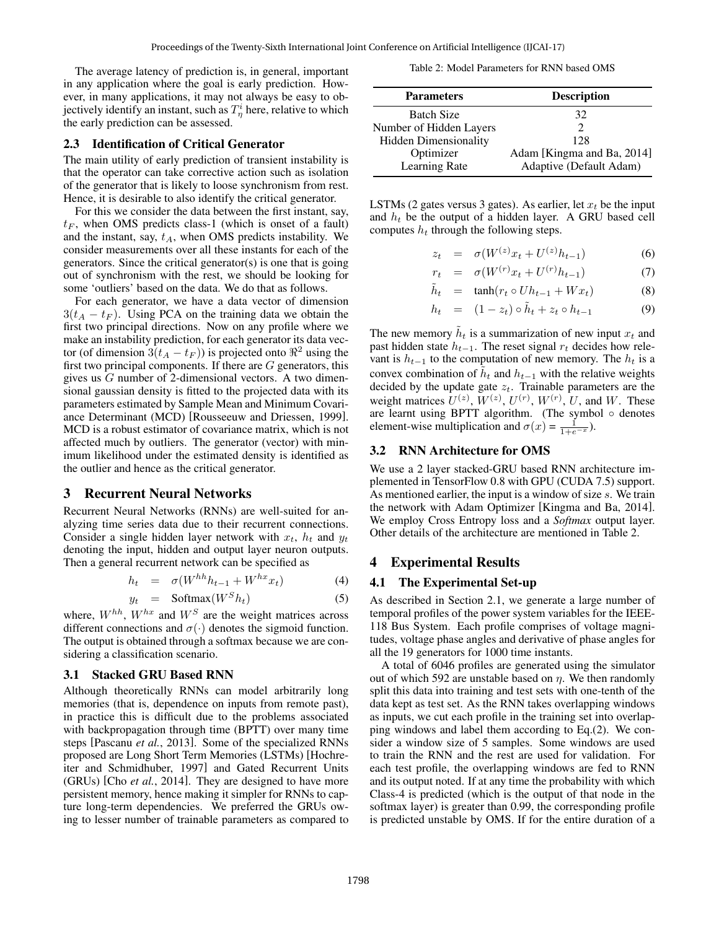The average latency of prediction is, in general, important in any application where the goal is early prediction. However, in many applications, it may not always be easy to objectively identify an instant, such as  $T^i_\eta$  here, relative to which the early prediction can be assessed.

#### 2.3 Identification of Critical Generator

The main utility of early prediction of transient instability is that the operator can take corrective action such as isolation of the generator that is likely to loose synchronism from rest. Hence, it is desirable to also identify the critical generator.

For this we consider the data between the first instant, say,  $t_F$ , when OMS predicts class-1 (which is onset of a fault) and the instant, say,  $t_A$ , when OMS predicts instability. We consider measurements over all these instants for each of the generators. Since the critical generator(s) is one that is going out of synchronism with the rest, we should be looking for some 'outliers' based on the data. We do that as follows.

For each generator, we have a data vector of dimension  $3(t_A - t_F)$ . Using PCA on the training data we obtain the first two principal directions. Now on any profile where we make an instability prediction, for each generator its data vector (of dimension  $3(t_A - t_F)$ ) is projected onto  $\Re^2$  using the first two principal components. If there are  $G$  generators, this gives us G number of 2-dimensional vectors. A two dimensional gaussian density is fitted to the projected data with its parameters estimated by Sample Mean and Minimum Covariance Determinant (MCD) [Rousseeuw and Driessen, 1999]. MCD is a robust estimator of covariance matrix, which is not affected much by outliers. The generator (vector) with minimum likelihood under the estimated density is identified as the outlier and hence as the critical generator.

# 3 Recurrent Neural Networks

Recurrent Neural Networks (RNNs) are well-suited for analyzing time series data due to their recurrent connections. Consider a single hidden layer network with  $x_t$ ,  $h_t$  and  $y_t$ denoting the input, hidden and output layer neuron outputs. Then a general recurrent network can be specified as

$$
h_t = \sigma(W^{hh}h_{t-1} + W^{hx}x_t) \tag{4}
$$

$$
y_t = \text{Softmax}(W^S h_t) \tag{5}
$$

where,  $W^{hh}$ ,  $W^{hx}$  and  $W^S$  are the weight matrices across different connections and  $\sigma(\cdot)$  denotes the sigmoid function. The output is obtained through a softmax because we are considering a classification scenario.

#### 3.1 Stacked GRU Based RNN

Although theoretically RNNs can model arbitrarily long memories (that is, dependence on inputs from remote past), in practice this is difficult due to the problems associated with backpropagation through time (BPTT) over many time steps [Pascanu *et al.*, 2013]. Some of the specialized RNNs proposed are Long Short Term Memories (LSTMs) [Hochreiter and Schmidhuber, 1997] and Gated Recurrent Units (GRUs) [Cho *et al.*, 2014]. They are designed to have more persistent memory, hence making it simpler for RNNs to capture long-term dependencies. We preferred the GRUs owing to lesser number of trainable parameters as compared to

| Table 2: Model Parameters for RNN based OMS |  |  |  |  |
|---------------------------------------------|--|--|--|--|
|---------------------------------------------|--|--|--|--|

| <b>Parameters</b>       | <b>Description</b>         |  |  |
|-------------------------|----------------------------|--|--|
| <b>Batch Size</b>       | 32                         |  |  |
| Number of Hidden Layers |                            |  |  |
| Hidden Dimensionality   | 128                        |  |  |
| Optimizer               | Adam [Kingma and Ba, 2014] |  |  |
| Learning Rate           | Adaptive (Default Adam)    |  |  |

LSTMs (2 gates versus 3 gates). As earlier, let  $x_t$  be the input and  $h_t$  be the output of a hidden layer. A GRU based cell computes  $h_t$  through the following steps.

$$
z_t = \sigma(W^{(z)}x_t + U^{(z)}h_{t-1}) \tag{6}
$$

$$
r_t = \sigma(W^{(r)}x_t + U^{(r)}h_{t-1}) \tag{7}
$$

$$
\tilde{h}_t = \tanh(r_t \circ Uh_{t-1} + Wx_t) \tag{8}
$$

$$
h_t = (1 - z_t) \circ \tilde{h}_t + z_t \circ h_{t-1} \tag{9}
$$

The new memory  $\tilde{h}_t$  is a summarization of new input  $x_t$  and past hidden state  $h_{t-1}$ . The reset signal  $r_t$  decides how relevant is  $h_{t-1}$  to the computation of new memory. The  $h_t$  is a convex combination of  $\tilde{h}_t$  and  $h_{t-1}$  with the relative weights decided by the update gate  $z_t$ . Trainable parameters are the weight matrices  $U^{(z)}$ ,  $W^{(z)}$ ,  $U^{(r)}$ ,  $W^{(r)}$ ,  $U$ , and  $W$ . These are learnt using BPTT algorithm. (The symbol  $\circ$  denotes element-wise multiplication and  $\sigma(x) = \frac{1}{1+e^{-x}}$ .

### 3.2 RNN Architecture for OMS

We use a 2 layer stacked-GRU based RNN architecture implemented in TensorFlow 0.8 with GPU (CUDA 7.5) support. As mentioned earlier, the input is a window of size s. We train the network with Adam Optimizer [Kingma and Ba, 2014]. We employ Cross Entropy loss and a *Softmax* output layer. Other details of the architecture are mentioned in Table 2.

# 4 Experimental Results

#### 4.1 The Experimental Set-up

As described in Section 2.1, we generate a large number of temporal profiles of the power system variables for the IEEE-118 Bus System. Each profile comprises of voltage magnitudes, voltage phase angles and derivative of phase angles for all the 19 generators for 1000 time instants.

A total of 6046 profiles are generated using the simulator out of which 592 are unstable based on  $\eta$ . We then randomly split this data into training and test sets with one-tenth of the data kept as test set. As the RNN takes overlapping windows as inputs, we cut each profile in the training set into overlapping windows and label them according to Eq.(2). We consider a window size of 5 samples. Some windows are used to train the RNN and the rest are used for validation. For each test profile, the overlapping windows are fed to RNN and its output noted. If at any time the probability with which Class-4 is predicted (which is the output of that node in the softmax layer) is greater than 0.99, the corresponding profile is predicted unstable by OMS. If for the entire duration of a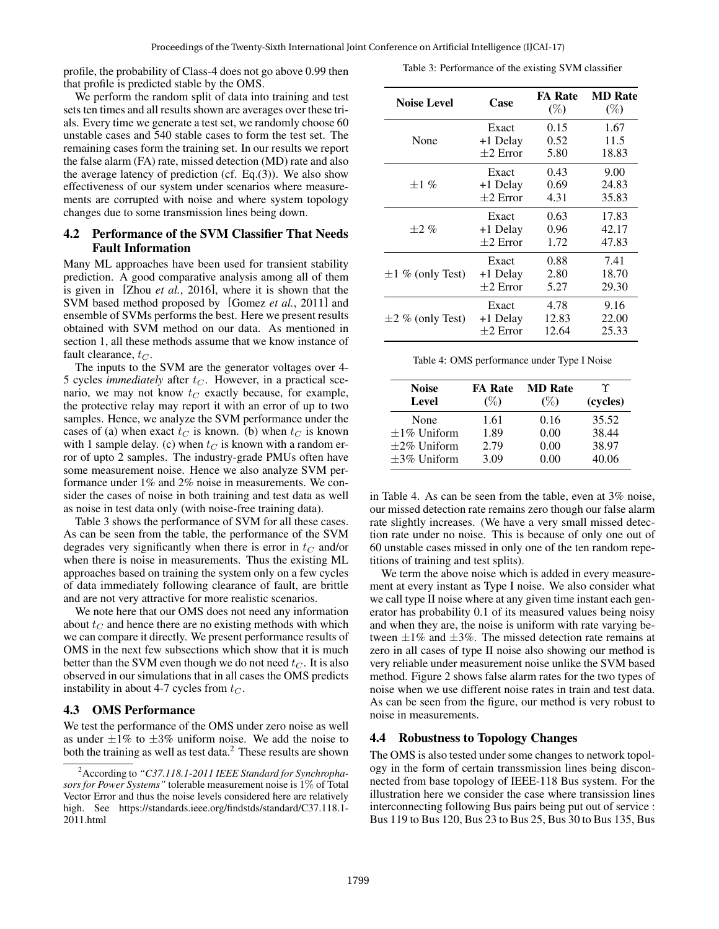profile, the probability of Class-4 does not go above 0.99 then that profile is predicted stable by the OMS.

We perform the random split of data into training and test sets ten times and all results shown are averages over these trials. Every time we generate a test set, we randomly choose 60 unstable cases and 540 stable cases to form the test set. The remaining cases form the training set. In our results we report the false alarm (FA) rate, missed detection (MD) rate and also the average latency of prediction (cf. Eq.(3)). We also show effectiveness of our system under scenarios where measurements are corrupted with noise and where system topology

# 4.2 Performance of the SVM Classifier That Needs Fault Information

changes due to some transmission lines being down.

Many ML approaches have been used for transient stability prediction. A good comparative analysis among all of them is given in [Zhou *et al.*, 2016], where it is shown that the SVM based method proposed by [Gomez *et al.*, 2011] and ensemble of SVMs performs the best. Here we present results obtained with SVM method on our data. As mentioned in section 1, all these methods assume that we know instance of fault clearance,  $t_C$ .

The inputs to the SVM are the generator voltages over 4- 5 cycles *immediately* after  $t_C$ . However, in a practical scenario, we may not know  $t_C$  exactly because, for example, the protective relay may report it with an error of up to two samples. Hence, we analyze the SVM performance under the cases of (a) when exact  $t_C$  is known. (b) when  $t_C$  is known with 1 sample delay. (c) when  $t_C$  is known with a random error of upto 2 samples. The industry-grade PMUs often have some measurement noise. Hence we also analyze SVM performance under 1% and 2% noise in measurements. We consider the cases of noise in both training and test data as well as noise in test data only (with noise-free training data).

Table 3 shows the performance of SVM for all these cases. As can be seen from the table, the performance of the SVM degrades very significantly when there is error in  $t_C$  and/or when there is noise in measurements. Thus the existing ML approaches based on training the system only on a few cycles of data immediately following clearance of fault, are brittle and are not very attractive for more realistic scenarios.

We note here that our OMS does not need any information about  $t_C$  and hence there are no existing methods with which we can compare it directly. We present performance results of OMS in the next few subsections which show that it is much better than the SVM even though we do not need  $t_C$ . It is also observed in our simulations that in all cases the OMS predicts instability in about 4-7 cycles from  $t_C$ .

# 4.3 OMS Performance

We test the performance of the OMS under zero noise as well as under  $\pm 1\%$  to  $\pm 3\%$  uniform noise. We add the noise to both the training as well as test data.<sup>2</sup> These results are shown

|  | Table 3: Performance of the existing SVM classifier |  |  |  |  |
|--|-----------------------------------------------------|--|--|--|--|
|--|-----------------------------------------------------|--|--|--|--|

| <b>Noise Level</b>    | Case       | <b>FA Rate</b><br>$(\%)$ | <b>MD</b> Rate<br>$(\%)$ |
|-----------------------|------------|--------------------------|--------------------------|
|                       | Exact      | 0.15                     | 1.67                     |
| None                  | +1 Delay   | 0.52                     | 11.5                     |
|                       | $+2$ Error | 5.80                     | 18.83                    |
|                       | Exact      | 0.43                     | 9.00                     |
| $+1\%$                | +1 Delay   | 0.69                     | 24.83                    |
|                       | $+2$ Error | 4.31                     | 35.83                    |
|                       | Exact      | 0.63                     | 17.83                    |
| $+2\%$                | +1 Delay   | 0.96                     | 42.17                    |
|                       | $+2$ Error | 1.72                     | 47.83                    |
|                       | Exact      | 0.88                     | 7.41                     |
| $\pm 1$ % (only Test) | +1 Delay   | 2.80                     | 18.70                    |
|                       | $+2$ Error | 5.27                     | 29.30                    |
|                       | Exact      | 4.78                     | 9.16                     |
| $\pm 2$ % (only Test) | +1 Delay   | 12.83                    | 22.00                    |
|                       | $+2$ Error | 12.64                    | 25.33                    |

Table 4: OMS performance under Type I Noise

| <b>Noise</b>      | <b>FA Rate</b> | <b>MD</b> Rate | Υ        |
|-------------------|----------------|----------------|----------|
| Level             | $(\%)$         | $(\%)$         | (cycles) |
| None              | 1.61           | 0.16           | 35.52    |
| $\pm 1\%$ Uniform | 1.89           | 0.00           | 38.44    |
| $\pm 2\%$ Uniform | 2.79           | 0.00           | 38.97    |
| $\pm$ 3% Uniform  | 3.09           | 0.00           | 40.06    |

in Table 4. As can be seen from the table, even at 3% noise, our missed detection rate remains zero though our false alarm rate slightly increases. (We have a very small missed detection rate under no noise. This is because of only one out of 60 unstable cases missed in only one of the ten random repetitions of training and test splits).

We term the above noise which is added in every measurement at every instant as Type I noise. We also consider what we call type II noise where at any given time instant each generator has probability 0.1 of its measured values being noisy and when they are, the noise is uniform with rate varying between  $\pm 1\%$  and  $\pm 3\%$ . The missed detection rate remains at zero in all cases of type II noise also showing our method is very reliable under measurement noise unlike the SVM based method. Figure 2 shows false alarm rates for the two types of noise when we use different noise rates in train and test data. As can be seen from the figure, our method is very robust to noise in measurements.

#### 4.4 Robustness to Topology Changes

The OMS is also tested under some changes to network topology in the form of certain transsmission lines being disconnected from base topology of IEEE-118 Bus system. For the illustration here we consider the case where transission lines interconnecting following Bus pairs being put out of service : Bus 119 to Bus 120, Bus 23 to Bus 25, Bus 30 to Bus 135, Bus

<sup>2</sup>According to *"C37.118.1-2011 IEEE Standard for Synchrophasors for Power Systems"* tolerable measurement noise is 1% of Total Vector Error and thus the noise levels considered here are relatively high. See https://standards.ieee.org/findstds/standard/C37.118.1- 2011.html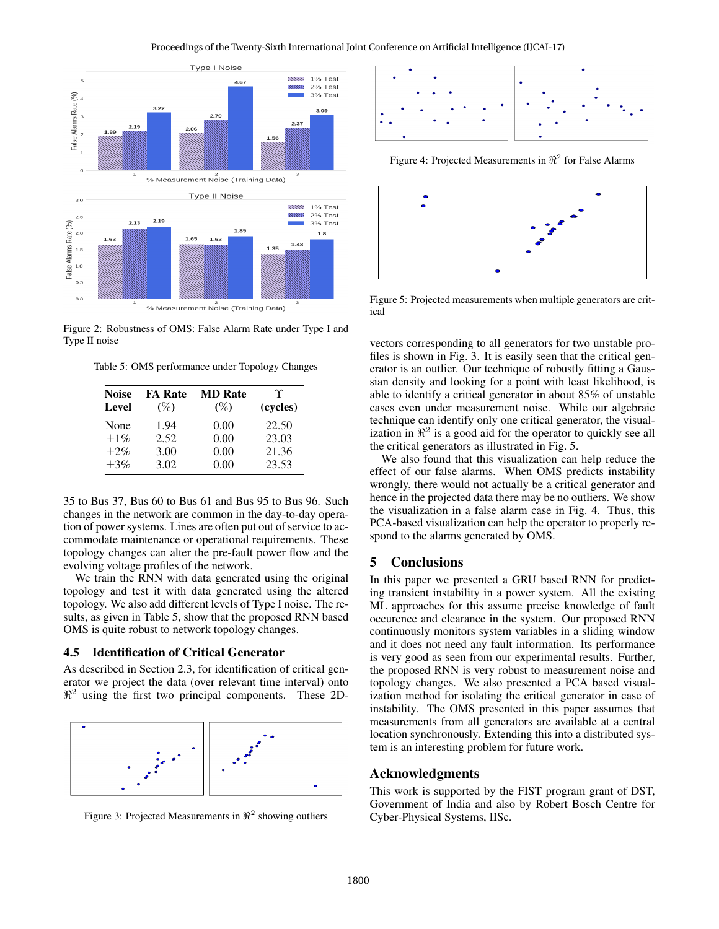

Figure 2: Robustness of OMS: False Alarm Rate under Type I and Type II noise

Table 5: OMS performance under Topology Changes

| <b>Noise</b><br>Level | <b>FA Rate</b><br>$(\%)$ | <b>MD</b> Rate<br>$(\%)$ | Υ<br>(cycles) |
|-----------------------|--------------------------|--------------------------|---------------|
| None                  | 1.94                     | 0.00                     | 22.50         |
| $+1\%$                | 2.52                     | 0.00                     | 23.03         |
| $+2\%$                | 3.00                     | 0.00                     | 21.36         |
| $+3%$                 | 3.02                     | 0.00                     | 23.53         |

35 to Bus 37, Bus 60 to Bus 61 and Bus 95 to Bus 96. Such changes in the network are common in the day-to-day operation of power systems. Lines are often put out of service to accommodate maintenance or operational requirements. These topology changes can alter the pre-fault power flow and the evolving voltage profiles of the network.

We train the RNN with data generated using the original topology and test it with data generated using the altered topology. We also add different levels of Type I noise. The results, as given in Table 5, show that the proposed RNN based OMS is quite robust to network topology changes.

#### 4.5 Identification of Critical Generator

As described in Section 2.3, for identification of critical generator we project the data (over relevant time interval) onto  $\mathbb{R}^2$  using the first two principal components. These 2D-



Figure 3: Projected Measurements in  $\Re^2$  showing outliers



Figure 4: Projected Measurements in  $\Re^2$  for False Alarms



Figure 5: Projected measurements when multiple generators are critical

vectors corresponding to all generators for two unstable profiles is shown in Fig. 3. It is easily seen that the critical generator is an outlier. Our technique of robustly fitting a Gaussian density and looking for a point with least likelihood, is able to identify a critical generator in about 85% of unstable cases even under measurement noise. While our algebraic technique can identify only one critical generator, the visualization in  $\mathbb{R}^2$  is a good aid for the operator to quickly see all the critical generators as illustrated in Fig. 5.

We also found that this visualization can help reduce the effect of our false alarms. When OMS predicts instability wrongly, there would not actually be a critical generator and hence in the projected data there may be no outliers. We show the visualization in a false alarm case in Fig. 4. Thus, this PCA-based visualization can help the operator to properly respond to the alarms generated by OMS.

# 5 Conclusions

In this paper we presented a GRU based RNN for predicting transient instability in a power system. All the existing ML approaches for this assume precise knowledge of fault occurence and clearance in the system. Our proposed RNN continuously monitors system variables in a sliding window and it does not need any fault information. Its performance is very good as seen from our experimental results. Further, the proposed RNN is very robust to measurement noise and topology changes. We also presented a PCA based visualization method for isolating the critical generator in case of instability. The OMS presented in this paper assumes that measurements from all generators are available at a central location synchronously. Extending this into a distributed system is an interesting problem for future work.

### Acknowledgments

This work is supported by the FIST program grant of DST, Government of India and also by Robert Bosch Centre for Cyber-Physical Systems, IISc.